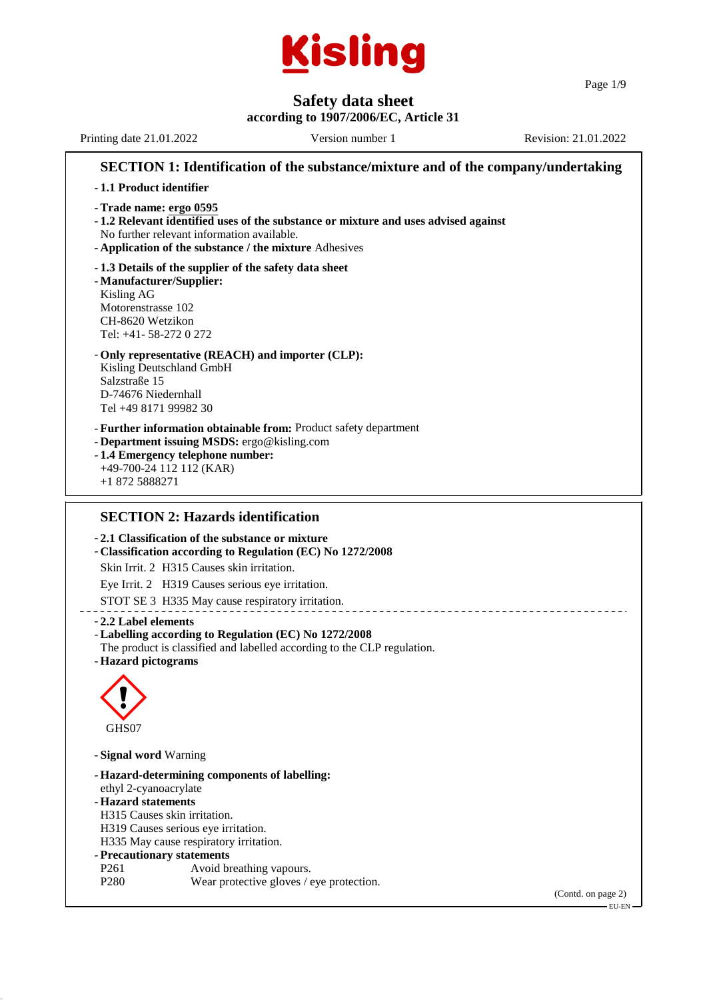

Page 1/9

## **Safety data sheet**

**according to 1907/2006/EC, Article 31** Printing date 21.01.2022 Version number 1 Revision: 21.01.2022 **SECTION 1: Identification of the substance/mixture and of the company/undertaking** - **1.1 Product identifier** - **Trade name: ergo 0595** - **1.2 Relevant identified uses of the substance or mixture and uses advised against** No further relevant information available. - **Application of the substance / the mixture** Adhesives - **1.3 Details of the supplier of the safety data sheet** - **Manufacturer/Supplier:** Kisling AG Motorenstrasse 102 CH-8620 Wetzikon Tel: +41- 58-272 0 272 - **Only representative (REACH) and importer (CLP):** Kisling Deutschland GmbH Salzstraße 15 D-74676 Niedernhall Tel +49 8171 99982 30 - **Further information obtainable from:** Product safety department - **Department issuing MSDS:** ergo@kisling.com - **1.4 Emergency telephone number:** +49-700-24 112 112 (KAR) +1 872 5888271 **SECTION 2: Hazards identification**

- **2.1 Classification of the substance or mixture**

- **Classification according to Regulation (EC) No 1272/2008**

Skin Irrit. 2 H315 Causes skin irritation.

Eye Irrit. 2 H319 Causes serious eye irritation.

STOT SE 3 H335 May cause respiratory irritation.

#### - **2.2 Label elements**

#### - **Labelling according to Regulation (EC) No 1272/2008**

- The product is classified and labelled according to the CLP regulation.
- **Hazard pictograms**



- **Signal word** Warning

|                              | - Hazard-determining components of labelling: |
|------------------------------|-----------------------------------------------|
| ethyl 2-cyanoacrylate        |                                               |
| - Hazard statements          |                                               |
| H315 Causes skin irritation. |                                               |
|                              | H319 Causes serious eye irritation.           |
|                              | H335 May cause respiratory irritation.        |
| - Precautionary statements   |                                               |
| P <sub>261</sub>             | Avoid breathing vapours.                      |
| P <sub>280</sub>             | Wear protective gloves / eye protection.      |
|                              |                                               |
|                              |                                               |

(Contd. on page 2)

EU-EN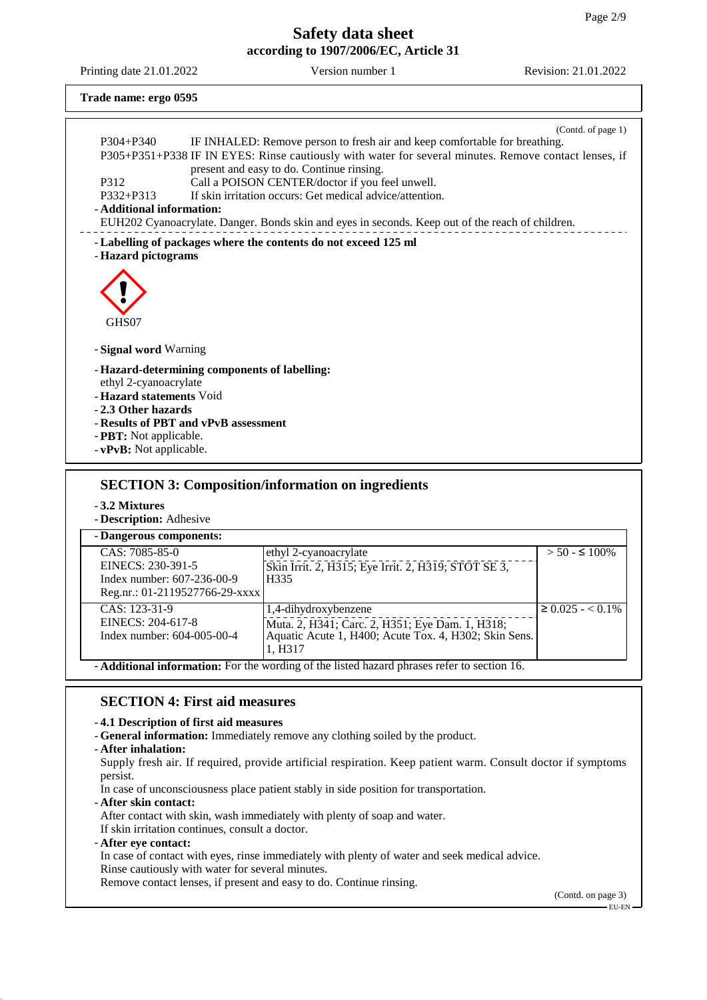Printing date 21.01.2022 Version number 1 Revision: 21.01.2022

**Trade name: ergo 0595**

|                           | (Contd. of page 1)                                                                                                                                                                  |  |  |  |  |
|---------------------------|-------------------------------------------------------------------------------------------------------------------------------------------------------------------------------------|--|--|--|--|
| $P304 + P340$             | IF INHALED: Remove person to fresh air and keep comfortable for breathing.<br>P305+P351+P338 IF IN EYES: Rinse cautiously with water for several minutes. Remove contact lenses, if |  |  |  |  |
|                           | present and easy to do. Continue rinsing.                                                                                                                                           |  |  |  |  |
| P312                      | Call a POISON CENTER/doctor if you feel unwell.                                                                                                                                     |  |  |  |  |
| $P332 + P313$             | If skin irritation occurs: Get medical advice/attention.                                                                                                                            |  |  |  |  |
| - Additional information: |                                                                                                                                                                                     |  |  |  |  |
|                           | EUH202 Cyanoacrylate. Danger. Bonds skin and eyes in seconds. Keep out of the reach of children.                                                                                    |  |  |  |  |
|                           | - Labelling of packages where the contents do not exceed 125 ml                                                                                                                     |  |  |  |  |
| - Hazard pictograms       |                                                                                                                                                                                     |  |  |  |  |
|                           |                                                                                                                                                                                     |  |  |  |  |
|                           |                                                                                                                                                                                     |  |  |  |  |
|                           |                                                                                                                                                                                     |  |  |  |  |
| GHS07                     |                                                                                                                                                                                     |  |  |  |  |
|                           |                                                                                                                                                                                     |  |  |  |  |
| - Signal word Warning     |                                                                                                                                                                                     |  |  |  |  |
|                           | - Hazard-determining components of labelling:                                                                                                                                       |  |  |  |  |
| ethyl 2-cyanoacrylate     |                                                                                                                                                                                     |  |  |  |  |
| - Hazard statements Void  |                                                                                                                                                                                     |  |  |  |  |
| -2.3 Other hazards        |                                                                                                                                                                                     |  |  |  |  |
|                           | - Results of PBT and vPvB assessment                                                                                                                                                |  |  |  |  |
|                           | - PBT: Not applicable.<br>- vPvB: Not applicable.                                                                                                                                   |  |  |  |  |
|                           |                                                                                                                                                                                     |  |  |  |  |
|                           |                                                                                                                                                                                     |  |  |  |  |
|                           | <b>SECTION 3: Composition/information on ingredients</b>                                                                                                                            |  |  |  |  |
| - 3.2 Mixtures            |                                                                                                                                                                                     |  |  |  |  |

- **Description:** Adhesive

- **Dangerous components:** CAS: 7085-85-0 EINECS: 230-391-5 Index number: 607-236-00-9 Reg.nr.: 01-2119527766-29-xxxx ethyl 2-cyanoacrylate Skin Irrit. 2, H315; Eye Irrit. 2, H319; STOT SE 3, H335  $> 50 - 5100\%$ CAS: 123-31-9 EINECS: 204-617-8 Index number: 604-005-00-4 1,4-dihydroxybenzene Muta. 2, H341; Carc. 2, H351; Eye Dam. 1, H318; Aquatic Acute 1, H400; Acute Tox. 4, H302; Skin Sens. 1, H317  $≥ 0.025 - < 0.1\%$ - **Additional information:** For the wording of the listed hazard phrases refer to section 16.

### **SECTION 4: First aid measures**

#### - **4.1 Description of first aid measures**

- **General information:** Immediately remove any clothing soiled by the product.
- **After inhalation:**

Supply fresh air. If required, provide artificial respiration. Keep patient warm. Consult doctor if symptoms persist.

In case of unconsciousness place patient stably in side position for transportation.

- **After skin contact:**

After contact with skin, wash immediately with plenty of soap and water.

- If skin irritation continues, consult a doctor.
- **After eye contact:**

In case of contact with eyes, rinse immediately with plenty of water and seek medical advice.

Rinse cautiously with water for several minutes. Remove contact lenses, if present and easy to do. Continue rinsing.

(Contd. on page 3) EU-EN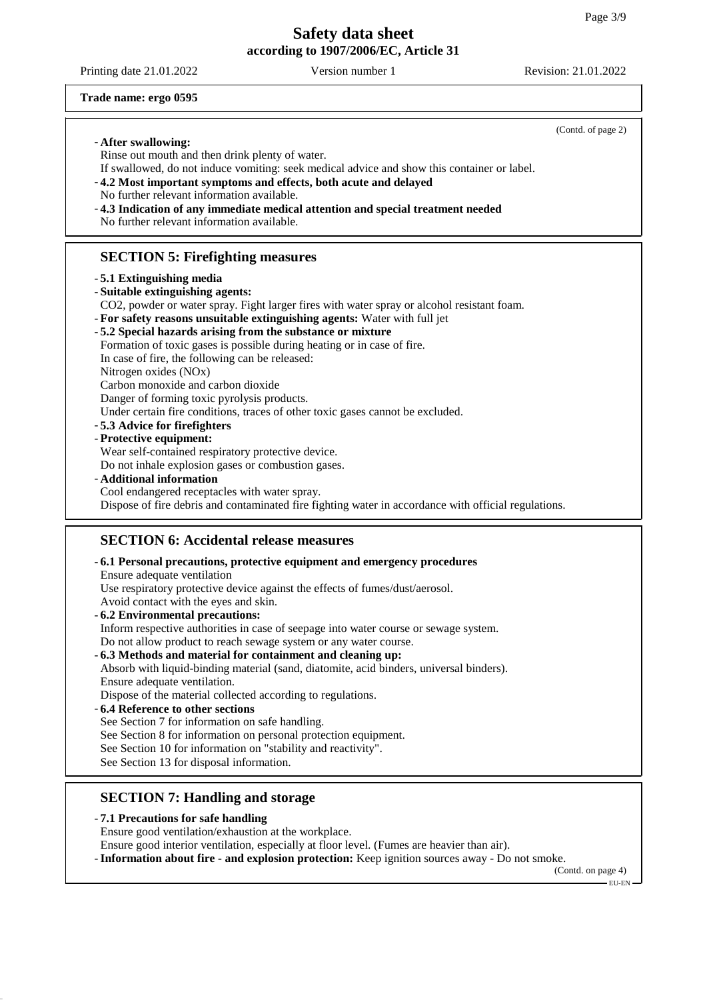Printing date 21.01.2022 Version number 1 Revision: 21.01.2022

**Trade name: ergo 0595**

|                                                                                                                                                                 | (Contd. of page 2) |
|-----------------------------------------------------------------------------------------------------------------------------------------------------------------|--------------------|
| - After swallowing:                                                                                                                                             |                    |
| Rinse out mouth and then drink plenty of water.                                                                                                                 |                    |
| If swallowed, do not induce vomiting: seek medical advice and show this container or label.<br>-4.2 Most important symptoms and effects, both acute and delayed |                    |
| No further relevant information available.                                                                                                                      |                    |
| -4.3 Indication of any immediate medical attention and special treatment needed                                                                                 |                    |
| No further relevant information available.                                                                                                                      |                    |
|                                                                                                                                                                 |                    |
| <b>SECTION 5: Firefighting measures</b>                                                                                                                         |                    |
| - 5.1 Extinguishing media                                                                                                                                       |                    |
| - Suitable extinguishing agents:                                                                                                                                |                    |
| CO2, powder or water spray. Fight larger fires with water spray or alcohol resistant foam.                                                                      |                    |
| - For safety reasons unsuitable extinguishing agents: Water with full jet                                                                                       |                    |
| -5.2 Special hazards arising from the substance or mixture                                                                                                      |                    |
| Formation of toxic gases is possible during heating or in case of fire.                                                                                         |                    |
| In case of fire, the following can be released:                                                                                                                 |                    |
| Nitrogen oxides (NOx)                                                                                                                                           |                    |
| Carbon monoxide and carbon dioxide                                                                                                                              |                    |
| Danger of forming toxic pyrolysis products.                                                                                                                     |                    |
| Under certain fire conditions, traces of other toxic gases cannot be excluded.<br>-5.3 Advice for firefighters                                                  |                    |
| - Protective equipment:                                                                                                                                         |                    |
| Wear self-contained respiratory protective device.                                                                                                              |                    |
| Do not inhale explosion gases or combustion gases.                                                                                                              |                    |
| - Additional information                                                                                                                                        |                    |
| Cool endangered receptacles with water spray.                                                                                                                   |                    |
| Dispose of fire debris and contaminated fire fighting water in accordance with official regulations.                                                            |                    |
|                                                                                                                                                                 |                    |
| <b>SECTION 6: Accidental release measures</b>                                                                                                                   |                    |
| - 6.1 Personal precautions, protective equipment and emergency procedures                                                                                       |                    |
| Ensure adequate ventilation                                                                                                                                     |                    |
| Use respiratory protective device against the effects of fumes/dust/aerosol.                                                                                    |                    |
| Avoid contact with the eyes and skin.                                                                                                                           |                    |
| - 6.2 Environmental precautions:                                                                                                                                |                    |
| Inform respective authorities in case of seepage into water course or sewage system.                                                                            |                    |
| Do not allow product to reach sewage system or any water course.                                                                                                |                    |
| -6.3 Methods and material for containment and cleaning up:                                                                                                      |                    |
| Absorb with liquid-binding material (sand, diatomite, acid binders, universal binders).                                                                         |                    |
| Ensure adequate ventilation.                                                                                                                                    |                    |
| Dispose of the material collected according to regulations.<br>-6.4 Reference to other sections                                                                 |                    |
| See Section 7 for information on safe handling.                                                                                                                 |                    |
| See Section 8 for information on personal protection equipment.                                                                                                 |                    |
| See Section 10 for information on "stability and reactivity".                                                                                                   |                    |
| See Section 13 for disposal information.                                                                                                                        |                    |
|                                                                                                                                                                 |                    |
| <b>SECTION 7: Handling and storage</b>                                                                                                                          |                    |
|                                                                                                                                                                 |                    |
| -7.1 Precautions for safe handling                                                                                                                              |                    |
| Ensure good ventilation/exhaustion at the workplace.                                                                                                            |                    |

Ensure good interior ventilation, especially at floor level. (Fumes are heavier than air).

- **Information about fire - and explosion protection:** Keep ignition sources away - Do not smoke.

(Contd. on page 4)  $-EU-EN$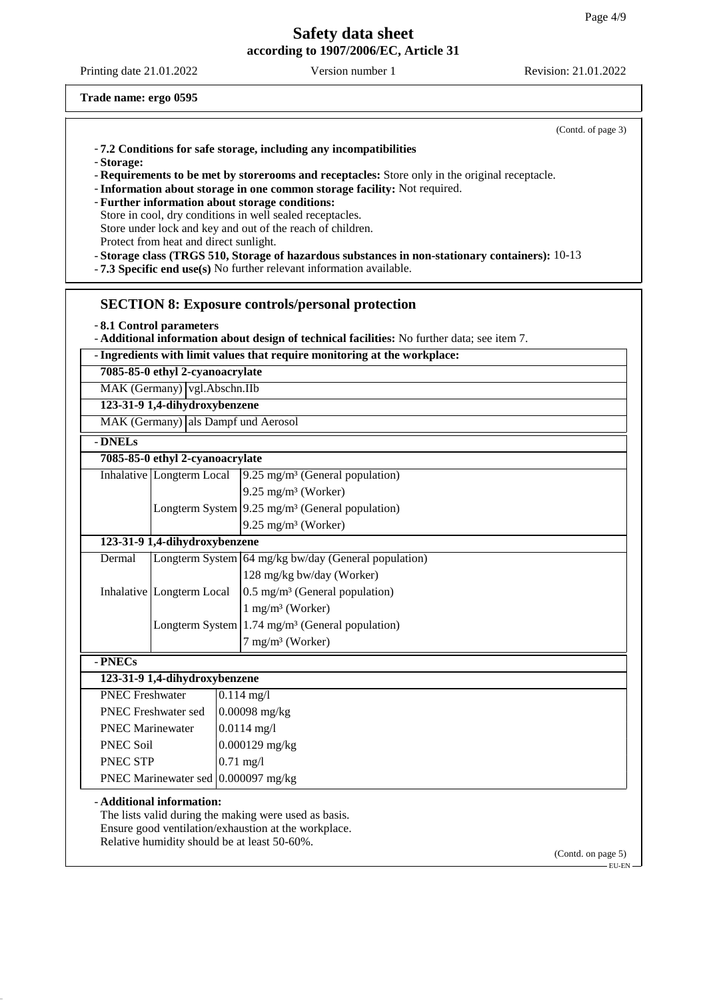Printing date 21.01.2022 Version number 1 Revision: 21.01.2022

(Contd. of page 3)

**Trade name: ergo 0595**

- **Storage:**

- **Requirements to be met by storerooms and receptacles:** Store only in the original receptacle.

- **Information about storage in one common storage facility:** Not required.
- **Further information about storage conditions:**
- Store in cool, dry conditions in well sealed receptacles.

Store under lock and key and out of the reach of children.

Protect from heat and direct sunlight.

- **Storage class (TRGS 510, Storage of hazardous substances in non-stationary containers):** 10-13

- **7.3 Specific end use(s)** No further relevant information available.

#### **SECTION 8: Exposure controls/personal protection**

- **8.1 Control parameters**

- **Additional information about design of technical facilities:** No further data; see item 7.

- **Ingredients with limit values that require monitoring at the workplace:**

**7085-85-0 ethyl 2-cyanoacrylate**

MAK (Germany) vgl.Abschn.IIb

**123-31-9 1,4-dihydroxybenzene**

MAK (Germany) als Dampf und Aerosol

- **DNELs**

| - DNELS                             |                                 |                                                      |                                                               |  |
|-------------------------------------|---------------------------------|------------------------------------------------------|---------------------------------------------------------------|--|
|                                     | 7085-85-0 ethyl 2-cyanoacrylate |                                                      |                                                               |  |
|                                     | Inhalative Longterm Local       |                                                      | $9.25 \text{ mg/m}^3$ (General population)                    |  |
|                                     |                                 |                                                      | $9.25$ mg/m <sup>3</sup> (Worker)                             |  |
|                                     |                                 |                                                      | Longterm System $9.25$ mg/m <sup>3</sup> (General population) |  |
|                                     |                                 |                                                      | $9.25 \text{ mg/m}^3$ (Worker)                                |  |
|                                     | 123-31-9 1,4-dihydroxybenzene   |                                                      |                                                               |  |
| Dermal                              |                                 | Longterm System 64 mg/kg bw/day (General population) |                                                               |  |
|                                     |                                 |                                                      | 128 mg/kg bw/day (Worker)                                     |  |
|                                     | Inhalative Longterm Local       |                                                      | 0.5 mg/m <sup>3</sup> (General population)                    |  |
|                                     |                                 |                                                      | $1 \text{ mg/m}^3$ (Worker)                                   |  |
|                                     |                                 |                                                      | Longterm System $1.74$ mg/m <sup>3</sup> (General population) |  |
|                                     |                                 |                                                      | $7 \text{ mg/m}^3$ (Worker)                                   |  |
| - PNECs                             |                                 |                                                      |                                                               |  |
|                                     | 123-31-9 1,4-dihydroxybenzene   |                                                      |                                                               |  |
| <b>PNEC Freshwater</b>              |                                 |                                                      | $0.114$ mg/l                                                  |  |
|                                     | <b>PNEC Freshwater sed</b>      |                                                      | $0.00098$ mg/kg                                               |  |
| <b>PNEC Marinewater</b>             |                                 |                                                      | $0.0114$ mg/l                                                 |  |
| <b>PNEC Soil</b>                    |                                 |                                                      | $0.000129$ mg/kg                                              |  |
| PNEC STP<br>$0.71$ mg/l             |                                 |                                                      |                                                               |  |
| PNEC Marinewater sed 0.000097 mg/kg |                                 |                                                      |                                                               |  |

### - **Additional information:**

The lists valid during the making were used as basis. Ensure good ventilation/exhaustion at the workplace. Relative humidity should be at least 50-60%.

(Contd. on page 5)  $-EILEN$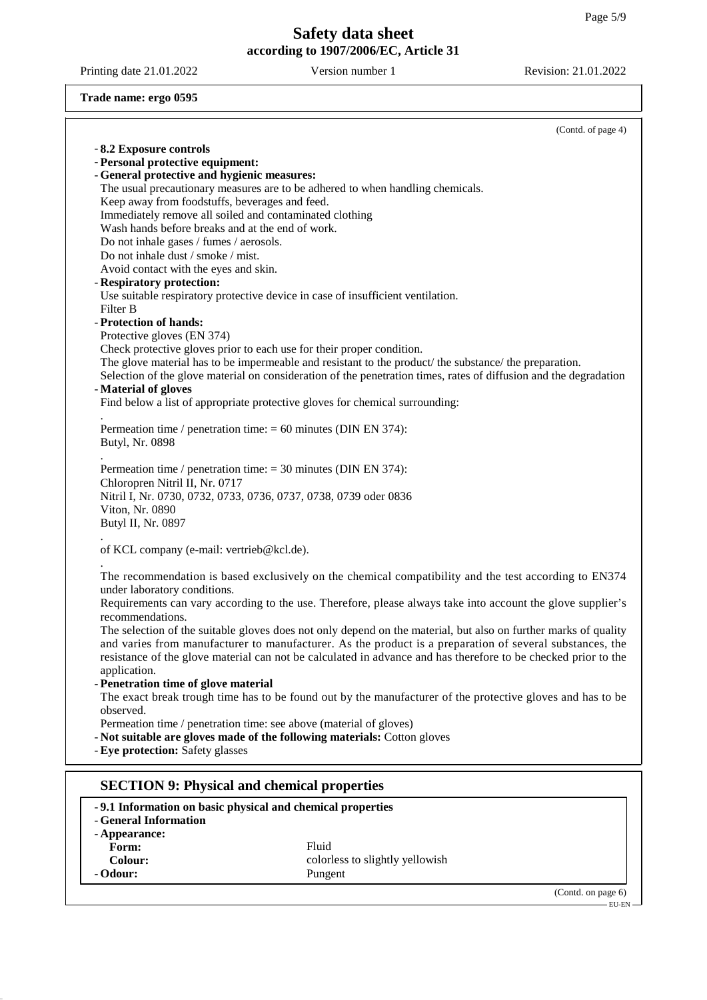Printing date 21.01.2022 Version number 1 Revision: 21.01.2022

**Trade name: ergo 0595**

|                                                                             | (Contd. of page 4)                                                                                                                                                                                                         |
|-----------------------------------------------------------------------------|----------------------------------------------------------------------------------------------------------------------------------------------------------------------------------------------------------------------------|
| -8.2 Exposure controls                                                      |                                                                                                                                                                                                                            |
| - Personal protective equipment:                                            |                                                                                                                                                                                                                            |
| - General protective and hygienic measures:                                 |                                                                                                                                                                                                                            |
|                                                                             | The usual precautionary measures are to be adhered to when handling chemicals.                                                                                                                                             |
| Keep away from foodstuffs, beverages and feed.                              |                                                                                                                                                                                                                            |
| Immediately remove all soiled and contaminated clothing                     |                                                                                                                                                                                                                            |
| Wash hands before breaks and at the end of work.                            |                                                                                                                                                                                                                            |
| Do not inhale gases / fumes / aerosols.                                     |                                                                                                                                                                                                                            |
| Do not inhale dust / smoke / mist.<br>Avoid contact with the eyes and skin. |                                                                                                                                                                                                                            |
| - Respiratory protection:                                                   |                                                                                                                                                                                                                            |
|                                                                             | Use suitable respiratory protective device in case of insufficient ventilation.                                                                                                                                            |
| Filter B                                                                    |                                                                                                                                                                                                                            |
| - Protection of hands:                                                      |                                                                                                                                                                                                                            |
| Protective gloves (EN 374)                                                  |                                                                                                                                                                                                                            |
| Check protective gloves prior to each use for their proper condition.       |                                                                                                                                                                                                                            |
|                                                                             | The glove material has to be impermeable and resistant to the product/ the substance/ the preparation.                                                                                                                     |
|                                                                             | Selection of the glove material on consideration of the penetration times, rates of diffusion and the degradation                                                                                                          |
| - Material of gloves                                                        |                                                                                                                                                                                                                            |
|                                                                             | Find below a list of appropriate protective gloves for chemical surrounding:                                                                                                                                               |
| Permeation time / penetration time: $= 60$ minutes (DIN EN 374):            |                                                                                                                                                                                                                            |
| Butyl, Nr. 0898                                                             |                                                                                                                                                                                                                            |
|                                                                             |                                                                                                                                                                                                                            |
| Permeation time / penetration time: $= 30$ minutes (DIN EN 374):            |                                                                                                                                                                                                                            |
| Chloropren Nitril II, Nr. 0717                                              |                                                                                                                                                                                                                            |
| Nitril I, Nr. 0730, 0732, 0733, 0736, 0737, 0738, 0739 oder 0836            |                                                                                                                                                                                                                            |
| Viton, Nr. 0890                                                             |                                                                                                                                                                                                                            |
| Butyl II, Nr. 0897                                                          |                                                                                                                                                                                                                            |
| of KCL company (e-mail: vertrieb@kcl.de).                                   |                                                                                                                                                                                                                            |
|                                                                             |                                                                                                                                                                                                                            |
|                                                                             | The recommendation is based exclusively on the chemical compatibility and the test according to EN374                                                                                                                      |
| under laboratory conditions.                                                |                                                                                                                                                                                                                            |
|                                                                             | Requirements can vary according to the use. Therefore, please always take into account the glove supplier's                                                                                                                |
| recommendations.                                                            |                                                                                                                                                                                                                            |
|                                                                             | The selection of the suitable gloves does not only depend on the material, but also on further marks of quality                                                                                                            |
|                                                                             | and varies from manufacturer to manufacturer. As the product is a preparation of several substances, the<br>resistance of the glove material can not be calculated in advance and has therefore to be checked prior to the |
| application.                                                                |                                                                                                                                                                                                                            |
| - Penetration time of glove material                                        |                                                                                                                                                                                                                            |
|                                                                             | The exact break trough time has to be found out by the manufacturer of the protective gloves and has to be                                                                                                                 |
| observed.                                                                   |                                                                                                                                                                                                                            |
| Permeation time / penetration time: see above (material of gloves)          |                                                                                                                                                                                                                            |
|                                                                             | - Not suitable are gloves made of the following materials: Cotton gloves                                                                                                                                                   |
| - Eye protection: Safety glasses                                            |                                                                                                                                                                                                                            |
|                                                                             |                                                                                                                                                                                                                            |
| <b>SECTION 9: Physical and chemical properties</b>                          |                                                                                                                                                                                                                            |
| -9.1 Information on basic physical and chemical properties                  |                                                                                                                                                                                                                            |
| - General Information                                                       |                                                                                                                                                                                                                            |
| - Appearance:                                                               | Fluid                                                                                                                                                                                                                      |
| Form:<br>Colour:                                                            | colorless to slightly yellowish                                                                                                                                                                                            |
| - Odour:                                                                    | Pungent                                                                                                                                                                                                                    |
|                                                                             |                                                                                                                                                                                                                            |

(Contd. on page 6)  $-EU-EN-$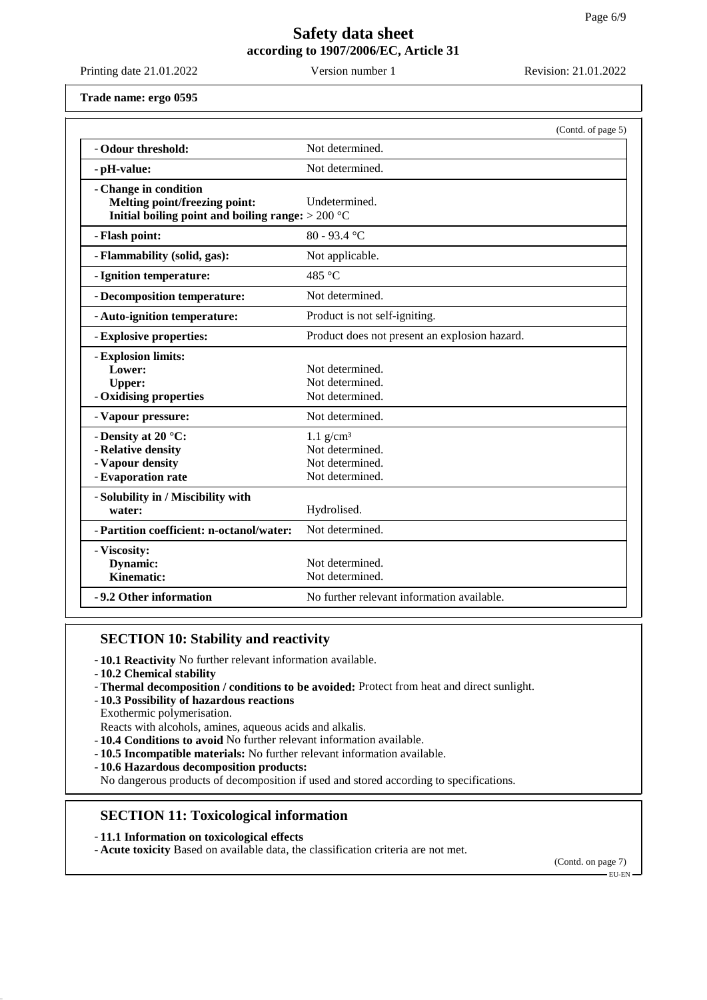Printing date 21.01.2022 Version number 1 Revision: 21.01.2022

**Trade name: ergo 0595**

|                                                                                                                      | (Contd. of page 5)                                                               |
|----------------------------------------------------------------------------------------------------------------------|----------------------------------------------------------------------------------|
| - Odour threshold:                                                                                                   | Not determined.                                                                  |
| - pH-value:                                                                                                          | Not determined.                                                                  |
| - Change in condition<br><b>Melting point/freezing point:</b><br>Initial boiling point and boiling range: $> 200$ °C | Undetermined.                                                                    |
| - Flash point:                                                                                                       | $80 - 93.4$ °C                                                                   |
| - Flammability (solid, gas):                                                                                         | Not applicable.                                                                  |
| - Ignition temperature:                                                                                              | 485 °C                                                                           |
| - Decomposition temperature:                                                                                         | Not determined.                                                                  |
| - Auto-ignition temperature:                                                                                         | Product is not self-igniting.                                                    |
| - Explosive properties:                                                                                              | Product does not present an explosion hazard.                                    |
| - Explosion limits:<br>Lower:<br><b>Upper:</b><br>- Oxidising properties                                             | Not determined.<br>Not determined.<br>Not determined.                            |
| - Vapour pressure:                                                                                                   | Not determined.                                                                  |
| - Density at 20 $\degree$ C:<br>- Relative density<br>- Vapour density<br>- Evaporation rate                         | $1.1$ g/cm <sup>3</sup><br>Not determined.<br>Not determined.<br>Not determined. |
| - Solubility in / Miscibility with<br>water:                                                                         | Hydrolised.                                                                      |
| - Partition coefficient: n-octanol/water:                                                                            | Not determined.                                                                  |
| - Viscosity:<br>Dynamic:<br><b>Kinematic:</b>                                                                        | Not determined.<br>Not determined.                                               |
| -9.2 Other information                                                                                               | No further relevant information available.                                       |

## **SECTION 10: Stability and reactivity**

- **10.1 Reactivity** No further relevant information available.

- **10.2 Chemical stability**
- **Thermal decomposition / conditions to be avoided:** Protect from heat and direct sunlight.
- **10.3 Possibility of hazardous reactions**
- Exothermic polymerisation. Reacts with alcohols, amines, aqueous acids and alkalis.
- **10.4 Conditions to avoid** No further relevant information available.
- **10.5 Incompatible materials:** No further relevant information available.
- **10.6 Hazardous decomposition products:**
- No dangerous products of decomposition if used and stored according to specifications.

## **SECTION 11: Toxicological information**

- **11.1 Information on toxicological effects**
- **Acute toxicity** Based on available data, the classification criteria are not met.

(Contd. on page 7)

EU-EN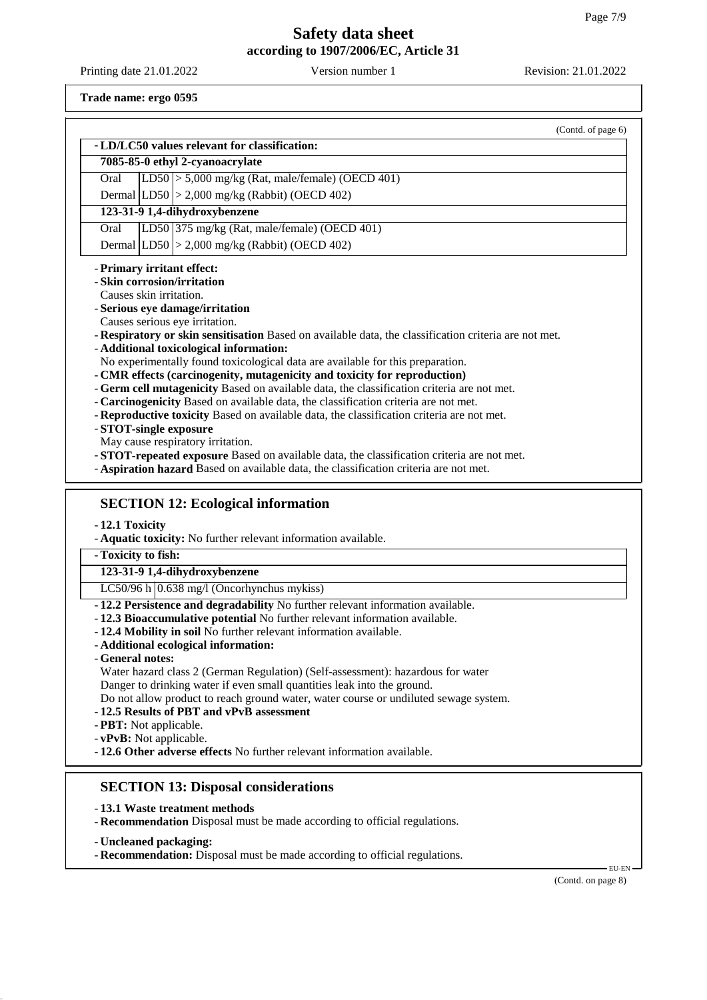Printing date 21.01.2022 Version number 1 Revision: 21.01.2022

**Trade name: ergo 0595**

|                                                                                                                                                                 | (Contd. of page 6) |
|-----------------------------------------------------------------------------------------------------------------------------------------------------------------|--------------------|
| - LD/LC50 values relevant for classification:                                                                                                                   |                    |
| 7085-85-0 ethyl 2-cyanoacrylate                                                                                                                                 |                    |
| LD50 $\vert$ > 5,000 mg/kg (Rat, male/female) (OECD 401)<br>Oral                                                                                                |                    |
| Dermal $ LD50  > 2,000$ mg/kg (Rabbit) (OECD 402)                                                                                                               |                    |
| 123-31-9 1,4-dihydroxybenzene                                                                                                                                   |                    |
| LD50 375 mg/kg (Rat, male/female) (OECD 401)<br>Oral                                                                                                            |                    |
| Dermal $ LD50  > 2,000$ mg/kg (Rabbit) (OECD 402)                                                                                                               |                    |
| - Primary irritant effect:                                                                                                                                      |                    |
| - Skin corrosion/irritation                                                                                                                                     |                    |
| Causes skin irritation.                                                                                                                                         |                    |
| - Serious eye damage/irritation                                                                                                                                 |                    |
| Causes serious eye irritation.                                                                                                                                  |                    |
| - Respiratory or skin sensitisation Based on available data, the classification criteria are not met.                                                           |                    |
| - Additional toxicological information:                                                                                                                         |                    |
| No experimentally found toxicological data are available for this preparation.<br>- CMR effects (carcinogenity, mutagenicity and toxicity for reproduction)     |                    |
| - Germ cell mutagenicity Based on available data, the classification criteria are not met.                                                                      |                    |
| - Carcinogenicity Based on available data, the classification criteria are not met.                                                                             |                    |
| - Reproductive toxicity Based on available data, the classification criteria are not met.                                                                       |                    |
| - STOT-single exposure                                                                                                                                          |                    |
| May cause respiratory irritation.                                                                                                                               |                    |
| - STOT-repeated exposure Based on available data, the classification criteria are not met.                                                                      |                    |
| - Aspiration hazard Based on available data, the classification criteria are not met.                                                                           |                    |
| -12.1 Toxicity<br>- Aquatic toxicity: No further relevant information available.                                                                                |                    |
| - Toxicity to fish:                                                                                                                                             |                    |
| 123-31-9 1,4-dihydroxybenzene                                                                                                                                   |                    |
| LC50/96 h $(0.638 \text{ mg}/1$ (Oncorhynchus mykiss)                                                                                                           |                    |
| -12.2 Persistence and degradability No further relevant information available.                                                                                  |                    |
| -12.3 Bioaccumulative potential No further relevant information available.                                                                                      |                    |
| - 12.4 Mobility in soil No further relevant information available.                                                                                              |                    |
| - Additional ecological information:                                                                                                                            |                    |
| - General notes:                                                                                                                                                |                    |
| Water hazard class 2 (German Regulation) (Self-assessment): hazardous for water                                                                                 |                    |
| Danger to drinking water if even small quantities leak into the ground.<br>Do not allow product to reach ground water, water course or undiluted sewage system. |                    |
| -12.5 Results of PBT and vPvB assessment                                                                                                                        |                    |
| - PBT: Not applicable.                                                                                                                                          |                    |
| - vPvB: Not applicable.                                                                                                                                         |                    |
| -12.6 Other adverse effects No further relevant information available.                                                                                          |                    |
|                                                                                                                                                                 |                    |
| <b>SECTION 13: Disposal considerations</b>                                                                                                                      |                    |
|                                                                                                                                                                 |                    |
| -13.1 Waste treatment methods                                                                                                                                   |                    |
| - Recommendation Disposal must be made according to official regulations.                                                                                       |                    |
|                                                                                                                                                                 |                    |

- **Uncleaned packaging:**
- **Recommendation:** Disposal must be made according to official regulations.

(Contd. on page 8)

EU-EN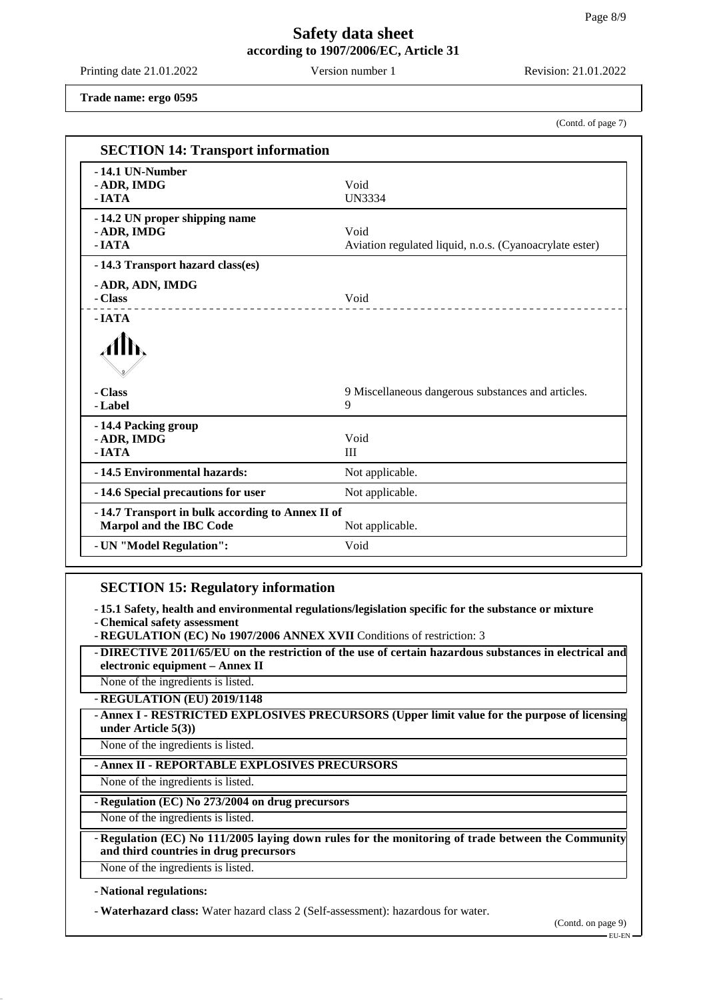Printing date 21.01.2022 Version number 1 Revision: 21.01.2022

(Contd. of page 7)

**Trade name: ergo 0595**

| <b>SECTION 14: Transport information</b>                                    |                                                                 |
|-----------------------------------------------------------------------------|-----------------------------------------------------------------|
| -14.1 UN-Number<br>- ADR, IMDG<br>$-IATA$                                   | Void<br><b>UN3334</b>                                           |
| -14.2 UN proper shipping name<br>- ADR, IMDG<br>$-IATA$                     | Void<br>Aviation regulated liquid, n.o.s. (Cyanoacrylate ester) |
| -14.3 Transport hazard class(es)                                            |                                                                 |
| - ADR, ADN, IMDG<br>- Class<br>__________________                           | Void                                                            |
| $-IATA$<br>- Class                                                          | 9 Miscellaneous dangerous substances and articles.              |
| - Label                                                                     | 9                                                               |
| -14.4 Packing group<br>- ADR, IMDG<br>- IATA                                | Void<br>III                                                     |
| -14.5 Environmental hazards:                                                | Not applicable.                                                 |
| -14.6 Special precautions for user                                          | Not applicable.                                                 |
| -14.7 Transport in bulk according to Annex II of<br>Marpol and the IBC Code | Not applicable.                                                 |
| - UN "Model Regulation":                                                    | Void                                                            |

## **SECTION 15: Regulatory information**

- **15.1 Safety, health and environmental regulations/legislation specific for the substance or mixture**

- **Chemical safety assessment**

- **REGULATION (EC) No 1907/2006 ANNEX XVII** Conditions of restriction: 3

- **DIRECTIVE 2011/65/EU on the restriction of the use of certain hazardous substances in electrical and electronic equipment – Annex II**

None of the ingredients is listed.

- **REGULATION (EU) 2019/1148**

- **Annex I - RESTRICTED EXPLOSIVES PRECURSORS (Upper limit value for the purpose of licensing under Article 5(3))**

None of the ingredients is listed.

- **Annex II - REPORTABLE EXPLOSIVES PRECURSORS**

None of the ingredients is listed.

### - **Regulation (EC) No 273/2004 on drug precursors**

None of the ingredients is listed.

- **Regulation (EC) No 111/2005 laying down rules for the monitoring of trade between the Community and third countries in drug precursors**

None of the ingredients is listed.

- **National regulations:**

- **Waterhazard class:** Water hazard class 2 (Self-assessment): hazardous for water.

(Contd. on page 9)

EU-EN